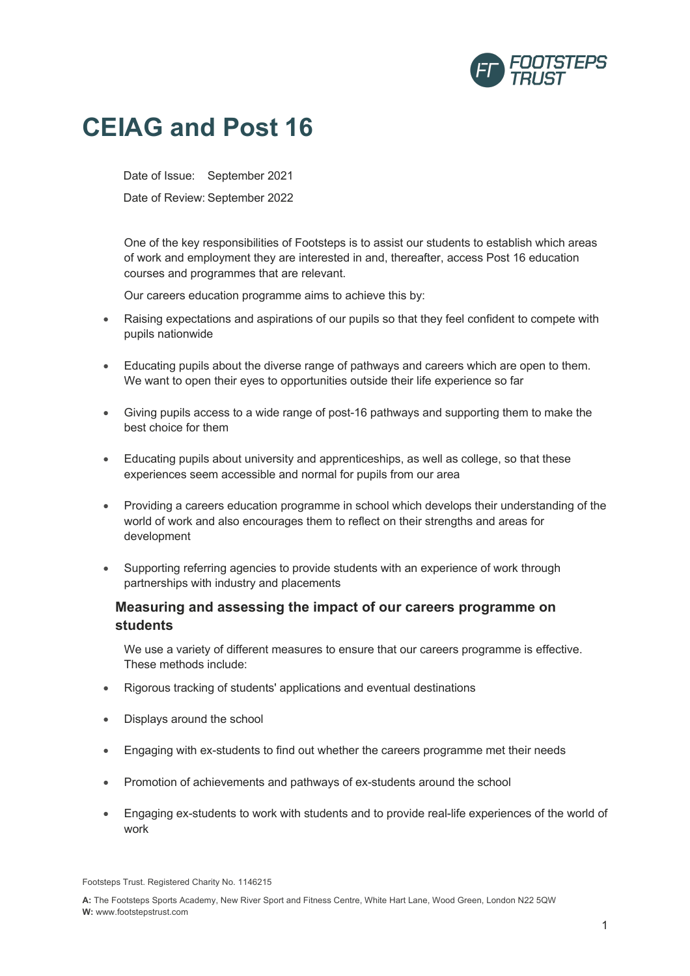

## **CEIAG and Post 16**

Date of Issue: September 2021

Date of Review: September 2022

One of the key responsibilities of Footsteps is to assist our students to establish which areas of work and employment they are interested in and, thereafter, access Post 16 education courses and programmes that are relevant.

Our careers education programme aims to achieve this by:

- Raising expectations and aspirations of our pupils so that they feel confident to compete with pupils nationwide
- Educating pupils about the diverse range of pathways and careers which are open to them. We want to open their eyes to opportunities outside their life experience so far
- Giving pupils access to a wide range of post-16 pathways and supporting them to make the best choice for them
- Educating pupils about university and apprenticeships, as well as college, so that these experiences seem accessible and normal for pupils from our area
- Providing a careers education programme in school which develops their understanding of the world of work and also encourages them to reflect on their strengths and areas for development
- Supporting referring agencies to provide students with an experience of work through partnerships with industry and placements

## **Measuring and assessing the impact of our careers programme on students**

We use a variety of different measures to ensure that our careers programme is effective. These methods include:

- Rigorous tracking of students' applications and eventual destinations
- Displays around the school
- Engaging with ex-students to find out whether the careers programme met their needs
- Promotion of achievements and pathways of ex-students around the school
- Engaging ex-students to work with students and to provide real-life experiences of the world of work

Footsteps Trust. Registered Charity No. 1146215